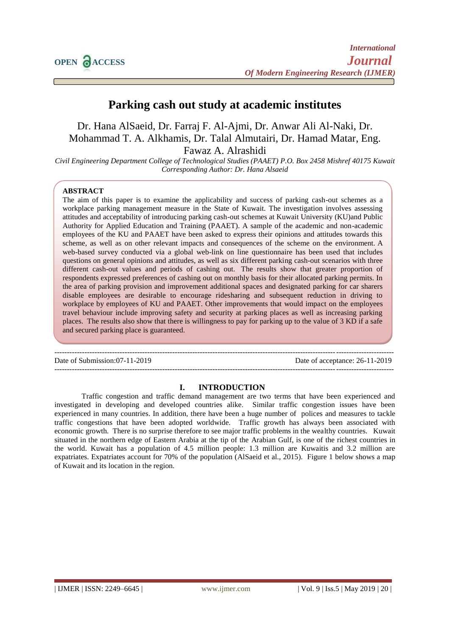# **Parking cash out study at academic institutes**

Dr. Hana AlSaeid, Dr. Farraj F. Al-Ajmi, Dr. Anwar Ali Al-Naki, Dr. Mohammad T. A. Alkhamis, Dr. Talal Almutairi, Dr. Hamad Matar, Eng. Fawaz A. Alrashidi

*Civil Engineering Department College of Technological Studies (PAAET) P.O. Box 2458 Mishref 40175 Kuwait Corresponding Author: Dr. Hana Alsaeid*

# **ABSTRACT**

The aim of this paper is to examine the applicability and success of parking cash-out schemes as a workplace parking management measure in the State of Kuwait. The investigation involves assessing attitudes and acceptability of introducing parking cash-out schemes at Kuwait University (KU)and Public Authority for Applied Education and Training (PAAET). A sample of the academic and non-academic employees of the KU and PAAET have been asked to express their opinions and attitudes towards this scheme, as well as on other relevant impacts and consequences of the scheme on the environment. A web-based survey conducted via a global web-link on line questionnaire has been used that includes questions on general opinions and attitudes, as well as six different parking cash-out scenarios with three different cash-out values and periods of cashing out. The results show that greater proportion of respondents expressed preferences of cashing out on monthly basis for their allocated parking permits. In the area of parking provision and improvement additional spaces and designated parking for car sharers disable employees are desirable to encourage ridesharing and subsequent reduction in driving to workplace by employees of KU and PAAET. Other improvements that would impact on the employees travel behaviour include improving safety and security at parking places as well as increasing parking places. The results also show that there is willingness to pay for parking up to the value of 3 KD if a safe and secured parking place is guaranteed.

--------------------------------------------------------------------------------------------------------------------------------------- Date of Submission:07-11-2019

# **I. INTRODUCTION**

---------------------------------------------------------------------------------------------------------------------------------------

Traffic congestion and traffic demand management are two terms that have been experienced and investigated in developing and developed countries alike. Similar traffic congestion issues have been experienced in many countries. In addition, there have been a huge number of polices and measures to tackle traffic congestions that have been adopted worldwide. Traffic growth has always been associated with economic growth. There is no surprise therefore to see major traffic problems in the wealthy countries. Kuwait situated in the northern edge of Eastern Arabia at the tip of the Arabian Gulf, is one of the richest countries in the world. Kuwait has a population of 4.5 million people: 1.3 million are Kuwaitis and 3.2 million are expatriates. Expatriates account for 70% of the population (AlSaeid et al., 2015). Figure 1 below shows a map of Kuwait and its location in the region.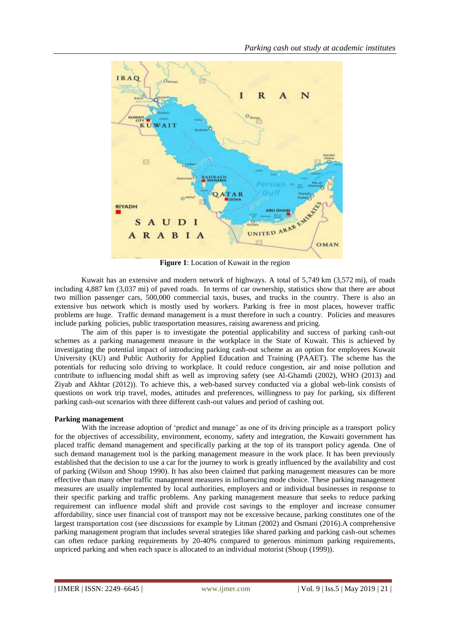

**Figure 1**: Location of Kuwait in the region

Kuwait has an extensive and modern network of highways. A total of 5,749 km (3,572 mi), of roads including 4,887 km (3,037 mi) of paved roads. In terms of car ownership, statistics show that there are about two million passenger cars, 500,000 commercial taxis, buses, and trucks in the country. There is also an extensive bus network which is mostly used by workers. Parking is free in most places, however traffic problems are huge. Traffic demand management is a must therefore in such a country. Policies and measures include parking policies, public transportation measures, raising awareness and pricing.

The aim of this paper is to investigate the potential applicability and success of parking cash-out schemes as a parking management measure in the workplace in the State of Kuwait. This is achieved by investigating the potential impact of introducing parking cash-out scheme as an option for employees Kuwait University (KU) and Public Authority for Applied Education and Training (PAAET). The scheme has the potentials for reducing solo driving to workplace. It could reduce congestion, air and noise pollution and contribute to influencing modal shift as well as improving safety (see Al-Ghamdi (2002), WHO (2013) and Ziyab and Akhtar (2012)). To achieve this, a web-based survey conducted via a global web-link consists of questions on work trip travel, modes, attitudes and preferences, willingness to pay for parking, six different parking cash-out scenarios with three different cash-out values and period of cashing out.

# **Parking management**

With the increase adoption of 'predict and manage' as one of its driving principle as a transport policy for the objectives of accessibility, environment, economy, safety and integration, the Kuwaiti government has placed traffic demand management and specifically parking at the top of its transport policy agenda. One of such demand management tool is the parking management measure in the work place. It has been previously established that the decision to use a car for the journey to work is greatly influenced by the availability and cost of parking (Wilson and Shoup 1990). It has also been claimed that parking management measures can be more effective than many other traffic management measures in influencing mode choice. These parking management measures are usually implemented by local authorities, employers and or individual businesses in response to their specific parking and traffic problems. Any parking management measure that seeks to reduce parking requirement can influence modal shift and provide cost savings to the employer and increase consumer affordability, since user financial cost of transport may not be excessive because, parking constitutes one of the largest transportation cost (see discussions for example by Litman (2002) and Osmani (2016).A comprehensive parking management program that includes several strategies like shared parking and parking cash-out schemes can often reduce parking requirements by 20-40% compared to generous minimum parking requirements, unpriced parking and when each space is allocated to an individual motorist (Shoup (1999)).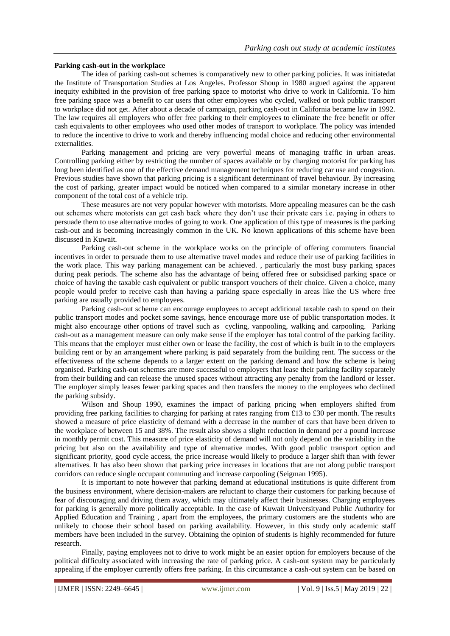# **Parking cash-out in the workplace**

The idea of parking cash-out schemes is comparatively new to other parking policies. It was initiatedat the Institute of Transportation Studies at Los Angeles. Professor Shoup in 1980 argued against the apparent inequity exhibited in the provision of free parking space to motorist who drive to work in California. To him free parking space was a benefit to car users that other employees who cycled, walked or took public transport to workplace did not get. After about a decade of campaign, parking cash-out in California became law in 1992. The law requires all employers who offer free parking to their employees to eliminate the free benefit or offer cash equivalents to other employees who used other modes of transport to workplace. The policy was intended to reduce the incentive to drive to work and thereby influencing modal choice and reducing other environmental externalities.

Parking management and pricing are very powerful means of managing traffic in urban areas. Controlling parking either by restricting the number of spaces available or by charging motorist for parking has long been identified as one of the effective demand management techniques for reducing car use and congestion. Previous studies have shown that parking pricing is a significant determinant of travel behaviour. By increasing the cost of parking, greater impact would be noticed when compared to a similar monetary increase in other component of the total cost of a vehicle trip.

These measures are not very popular however with motorists. More appealing measures can be the cash out schemes where motorists can get cash back where they don't use their private cars i.e. paying in others to persuade them to use alternative modes of going to work. One application of this type of measures is the parking cash-out and is becoming increasingly common in the UK. No known applications of this scheme have been discussed in Kuwait.

Parking cash-out scheme in the workplace works on the principle of offering commuters financial incentives in order to persuade them to use alternative travel modes and reduce their use of parking facilities in the work place. This way parking management can be achieved. , particularly the most busy parking spaces during peak periods. The scheme also has the advantage of being offered free or subsidised parking space or choice of having the taxable cash equivalent or public transport vouchers of their choice. Given a choice, many people would prefer to receive cash than having a parking space especially in areas like the US where free parking are usually provided to employees.

Parking cash-out scheme can encourage employees to accept additional taxable cash to spend on their public transport modes and pocket some savings, hence encourage more use of public transportation modes. It might also encourage other options of travel such as cycling, vanpooling, walking and carpooling. Parking cash-out as a management measure can only make sense if the employer has total control of the parking facility. This means that the employer must either own or lease the facility, the cost of which is built in to the employers building rent or by an arrangement where parking is paid separately from the building rent. The success or the effectiveness of the scheme depends to a larger extent on the parking demand and how the scheme is being organised. Parking cash-out schemes are more successful to employers that lease their parking facility separately from their building and can release the unused spaces without attracting any penalty from the landlord or lesser. The employer simply leases fewer parking spaces and then transfers the money to the employees who declined the parking subsidy.

Wilson and Shoup 1990, examines the impact of parking pricing when employers shifted from providing free parking facilities to charging for parking at rates ranging from £13 to £30 per month. The results showed a measure of price elasticity of demand with a decrease in the number of cars that have been driven to the workplace of between 15 and 38%. The result also shows a slight reduction in demand per a pound increase in monthly permit cost. This measure of price elasticity of demand will not only depend on the variability in the pricing but also on the availability and type of alternative modes. With good public transport option and significant priority, good cycle access, the price increase would likely to produce a larger shift than with fewer alternatives. It has also been shown that parking price increases in locations that are not along public transport corridors can reduce single occupant commuting and increase carpooling (Seigman 1995).

It is important to note however that parking demand at educational institutions is quite different from the business environment, where decision-makers are reluctant to charge their customers for parking because of fear of discouraging and driving them away, which may ultimately affect their businesses. Charging employees for parking is generally more politically acceptable. In the case of Kuwait Universityand Public Authority for Applied Education and Training , apart from the employees, the primary customers are the students who are unlikely to choose their school based on parking availability. However, in this study only academic staff members have been included in the survey. Obtaining the opinion of students is highly recommended for future research.

Finally, paying employees not to drive to work might be an easier option for employers because of the political difficulty associated with increasing the rate of parking price. A cash-out system may be particularly appealing if the employer currently offers free parking. In this circumstance a cash-out system can be based on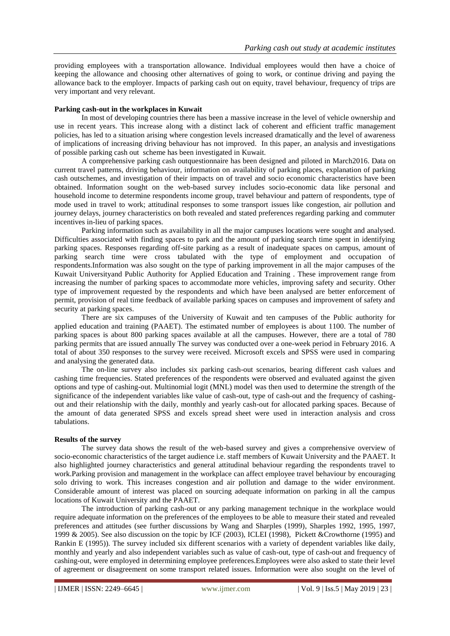providing employees with a transportation allowance. Individual employees would then have a choice of keeping the allowance and choosing other alternatives of going to work, or continue driving and paying the allowance back to the employer. Impacts of parking cash out on equity, travel behaviour, frequency of trips are very important and very relevant.

# **Parking cash-out in the workplaces in Kuwait**

In most of developing countries there has been a massive increase in the level of vehicle ownership and use in recent years. This increase along with a distinct lack of coherent and efficient traffic management policies, has led to a situation arising where congestion levels increased dramatically and the level of awareness of implications of increasing driving behaviour has not improved. In this paper, an analysis and investigations of possible parking cash out scheme has been investigated in Kuwait.

A comprehensive parking cash outquestionnaire has been designed and piloted in March2016. Data on current travel patterns, driving behaviour, information on availability of parking places, explanation of parking cash outschemes, and investigation of their impacts on of travel and socio economic characteristics have been obtained. Information sought on the web-based survey includes socio-economic data like personal and household income to determine respondents income group, travel behaviour and pattern of respondents, type of mode used in travel to work; attitudinal responses to some transport issues like congestion, air pollution and journey delays, journey characteristics on both revealed and stated preferences regarding parking and commuter incentives in-lieu of parking spaces.

Parking information such as availability in all the major campuses locations were sought and analysed. Difficulties associated with finding spaces to park and the amount of parking search time spent in identifying parking spaces. Responses regarding off-site parking as a result of inadequate spaces on campus, amount of parking search time were cross tabulated with the type of employment and occupation of respondents.Information was also sought on the type of parking improvement in all the major campuses of the Kuwait Universityand Public Authority for Applied Education and Training . These improvement range from increasing the number of parking spaces to accommodate more vehicles, improving safety and security. Other type of improvement requested by the respondents and which have been analysed are better enforcement of permit, provision of real time feedback of available parking spaces on campuses and improvement of safety and security at parking spaces.

There are six campuses of the University of Kuwait and ten campuses of the Public authority for applied education and training (PAAET). The estimated number of employees is about 1100. The number of parking spaces is about 800 parking spaces available at all the campuses. However, there are a total of 780 parking permits that are issued annually The survey was conducted over a one-week period in February 2016. A total of about 350 responses to the survey were received. Microsoft excels and SPSS were used in comparing and analysing the generated data.

The on-line survey also includes six parking cash-out scenarios, bearing different cash values and cashing time frequencies. Stated preferences of the respondents were observed and evaluated against the given options and type of cashing-out. Multinomial logit (MNL) model was then used to determine the strength of the significance of the independent variables like value of cash-out, type of cash-out and the frequency of cashingout and their relationship with the daily, monthly and yearly cash-out for allocated parking spaces. Because of the amount of data generated SPSS and excels spread sheet were used in interaction analysis and cross tabulations.

#### **Results of the survey**

The survey data shows the result of the web-based survey and gives a comprehensive overview of socio-economic characteristics of the target audience i.e. staff members of Kuwait University and the PAAET. It also highlighted journey characteristics and general attitudinal behaviour regarding the respondents travel to work.Parking provision and management in the workplace can affect employee travel behaviour by encouraging solo driving to work. This increases congestion and air pollution and damage to the wider environment. Considerable amount of interest was placed on sourcing adequate information on parking in all the campus locations of Kuwait University and the PAAET.

The introduction of parking cash-out or any parking management technique in the workplace would require adequate information on the preferences of the employees to be able to measure their stated and revealed preferences and attitudes (see further discussions by Wang and Sharples (1999), Sharples 1992, 1995, 1997, 1999 & 2005). See also discussion on the topic by ICF (2003), ICLEI (1998), Pickett &Crowthorne (1995) and Rankin E (1995)). The survey included six different scenarios with a variety of dependent variables like daily, monthly and yearly and also independent variables such as value of cash-out, type of cash-out and frequency of cashing-out, were employed in determining employee preferences.Employees were also asked to state their level of agreement or disagreement on some transport related issues. Information were also sought on the level of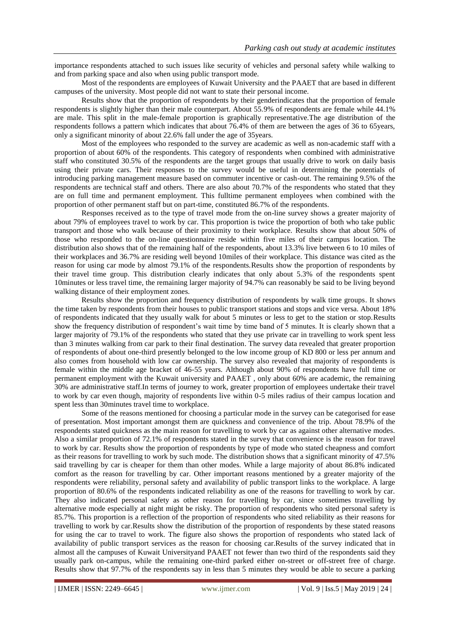importance respondents attached to such issues like security of vehicles and personal safety while walking to and from parking space and also when using public transport mode.

Most of the respondents are employees of Kuwait University and the PAAET that are based in different campuses of the university. Most people did not want to state their personal income.

Results show that the proportion of respondents by their genderindicates that the proportion of female respondents is slightly higher than their male counterpart. About 55.9% of respondents are female while 44.1% are male. This split in the male-female proportion is graphically representative.The age distribution of the respondents follows a pattern which indicates that about 76.4% of them are between the ages of 36 to 65years, only a significant minority of about 22.6% fall under the age of 35years.

Most of the employees who responded to the survey are academic as well as non-academic staff with a proportion of about 60% of the respondents. This category of respondents when combined with administrative staff who constituted 30.5% of the respondents are the target groups that usually drive to work on daily basis using their private cars. Their responses to the survey would be useful in determining the potentials of introducing parking management measure based on commuter incentive or cash-out. The remaining 9.5% of the respondents are technical staff and others. There are also about 70.7% of the respondents who stated that they are on full time and permanent employment. This fulltime permanent employees when combined with the proportion of other permanent staff but on part-time, constituted 86.7% of the respondents.

Responses received as to the type of travel mode from the on-line survey shows a greater majority of about 79% of employees travel to work by car. This proportion is twice the proportion of both who take public transport and those who walk because of their proximity to their workplace. Results show that about 50% of those who responded to the on-line questionnaire reside within five miles of their campus location. The distribution also shows that of the remaining half of the respondents, about 13.3% live between 6 to 10 miles of their workplaces and 36.7% are residing well beyond 10miles of their workplace. This distance was cited as the reason for using car mode by almost 79.1% of the respondents.Results show the proportion of respondents by their travel time group. This distribution clearly indicates that only about 5.3% of the respondents spent 10minutes or less travel time, the remaining larger majority of 94.7% can reasonably be said to be living beyond walking distance of their employment zones.

Results show the proportion and frequency distribution of respondents by walk time groups. It shows the time taken by respondents from their houses to public transport stations and stops and vice versa. About 18% of respondents indicated that they usually walk for about 5 minutes or less to get to the station or stop.Results show the frequency distribution of respondent's wait time by time band of 5 minutes. It is clearly shown that a larger majority of 79.1% of the respondents who stated that they use private car in travelling to work spent less than 3 minutes walking from car park to their final destination. The survey data revealed that greater proportion of respondents of about one-third presently belonged to the low income group of KD 800 or less per annum and also comes from household with low car ownership. The survey also revealed that majority of respondents is female within the middle age bracket of 46-55 years. Although about 90% of respondents have full time or permanent employment with the Kuwait university and PAAET , only about 60% are academic, the remaining 30% are administrative staff.In terms of journey to work, greater proportion of employees undertake their travel to work by car even though, majority of respondents live within 0-5 miles radius of their campus location and spent less than 30minutes travel time to workplace.

Some of the reasons mentioned for choosing a particular mode in the survey can be categorised for ease of presentation. Most important amongst them are quickness and convenience of the trip. About 78.9% of the respondents stated quickness as the main reason for travelling to work by car as against other alternative modes. Also a similar proportion of 72.1% of respondents stated in the survey that convenience is the reason for travel to work by car. Results show the proportion of respondents by type of mode who stated cheapness and comfort as their reasons for travelling to work by such mode. The distribution shows that a significant minority of 47.5% said travelling by car is cheaper for them than other modes. While a large majority of about 86.8% indicated comfort as the reason for travelling by car. Other important reasons mentioned by a greater majority of the respondents were reliability, personal safety and availability of public transport links to the workplace. A large proportion of 80.6% of the respondents indicated reliability as one of the reasons for travelling to work by car. They also indicated personal safety as other reason for travelling by car, since sometimes travelling by alternative mode especially at night might be risky. The proportion of respondents who sited personal safety is 85.7%. This proportion is a reflection of the proportion of respondents who sited reliability as their reasons for travelling to work by car.Results show the distribution of the proportion of respondents by these stated reasons for using the car to travel to work. The figure also shows the proportion of respondents who stated lack of availability of public transport services as the reason for choosing car.Results of the survey indicated that in almost all the campuses of Kuwait Universityand PAAET not fewer than two third of the respondents said they usually park on-campus, while the remaining one-third parked either on-street or off-street free of charge. Results show that 97.7% of the respondents say in less than 5 minutes they would be able to secure a parking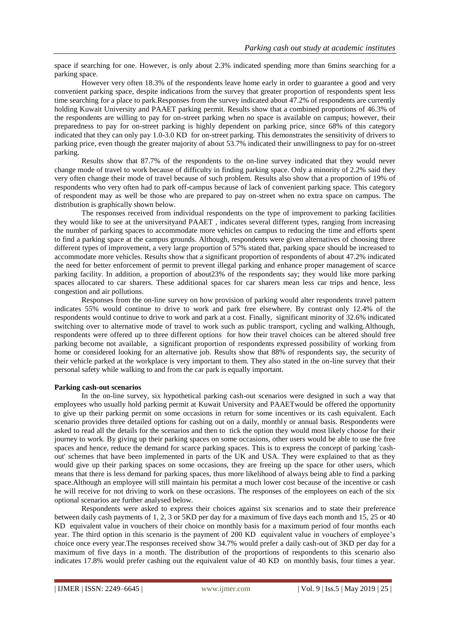space if searching for one. However, is only about 2.3% indicated spending more than 6mins searching for a parking space.

However very often 18.3% of the respondents leave home early in order to guarantee a good and very convenient parking space, despite indications from the survey that greater proportion of respondents spent less time searching for a place to park.Responses from the survey indicated about 47.2% of respondents are currently holding Kuwait University and PAAET parking permit. Results show that a combined proportions of 46.3% of the respondents are willing to pay for on-street parking when no space is available on campus; however, their preparedness to pay for on-street parking is highly dependent on parking price, since 68% of this category indicated that they can only pay 1.0-3.0 KD for on-street parking. This demonstrates the sensitivity of drivers to parking price, even though the greater majority of about 53.7% indicated their unwillingness to pay for on-street parking.

Results show that 87.7% of the respondents to the on-line survey indicated that they would never change mode of travel to work because of difficulty in finding parking space. Only a minority of 2.2% said they very often change their mode of travel because of such problem. Results also show that a proportion of 19% of respondents who very often had to park off-campus because of lack of convenient parking space. This category of respondent may as well be those who are prepared to pay on-street when no extra space on campus. The distribution is graphically shown below.

The responses received from individual respondents on the type of improvement to parking facilities they would like to see at the universityand PAAET , indicates several different types, ranging from increasing the number of parking spaces to accommodate more vehicles on campus to reducing the time and efforts spent to find a parking space at the campus grounds. Although, respondents were given alternatives of choosing three different types of improvement, a very large proportion of 57% stated that, parking space should be increased to accommodate more vehicles. Results show that a significant proportion of respondents of about 47.2% indicated the need for better enforcement of permit to prevent illegal parking and enhance proper management of scarce parking facility. In addition, a proportion of about23% of the respondents say; they would like more parking spaces allocated to car sharers. These additional spaces for car sharers mean less car trips and hence, less congestion and air pollutions.

Responses from the on-line survey on how provision of parking would alter respondents travel pattern indicates 55% would continue to drive to work and park free elsewhere. By contrast only 12.4% of the respondents would continue to drive to work and park at a cost. Finally, significant minority of 32.6% indicated switching over to alternative mode of travel to work such as public transport, cycling and walking.Although, respondents were offered up to three different options for how their travel choices can be altered should free parking become not available, a significant proportion of respondents expressed possibility of working from home or considered looking for an alternative job. Results show that 88% of respondents say, the security of their vehicle parked at the workplace is very important to them. They also stated in the on-line survey that their personal safety while walking to and from the car park is equally important.

#### **Parking cash-out scenarios**

In the on-line survey, six hypothetical parking cash-out scenarios were designed in such a way that employees who usually hold parking permit at Kuwait University and PAAETwould be offered the opportunity to give up their parking permit on some occasions in return for some incentives or its cash equivalent. Each scenario provides three detailed options for cashing out on a daily, monthly or annual basis. Respondents were asked to read all the details for the scenarios and then to tick the option they would most likely choose for their journey to work. By giving up their parking spaces on some occasions, other users would be able to use the free spaces and hence, reduce the demand for scarce parking spaces. This is to express the concept of parking 'cashout' schemes that have been implemented in parts of the UK and USA. They were explained to that as they would give up their parking spaces on some occasions, they are freeing up the space for other users, which means that there is less demand for parking spaces, thus more likelihood of always being able to find a parking space.Although an employee will still maintain his permitat a much lower cost because of the incentive or cash he will receive for not driving to work on these occasions. The responses of the employees on each of the six optional scenarios are further analysed below.

Respondents were asked to express their choices against six scenarios and to state their preference between daily cash payments of 1, 2, 3 or 5KD per day for a maximum of five days each month and 15, 25 or 40 KD equivalent value in vouchers of their choice on monthly basis for a maximum period of four months each year. The third option in this scenario is the payment of 200 KD equivalent value in vouchers of employee's choice once every year.The responses received show 34.7% would prefer a daily cash-out of 3KD per day for a maximum of five days in a month. The distribution of the proportions of respondents to this scenario also indicates 17.8% would prefer cashing out the equivalent value of 40 KD on monthly basis, four times a year.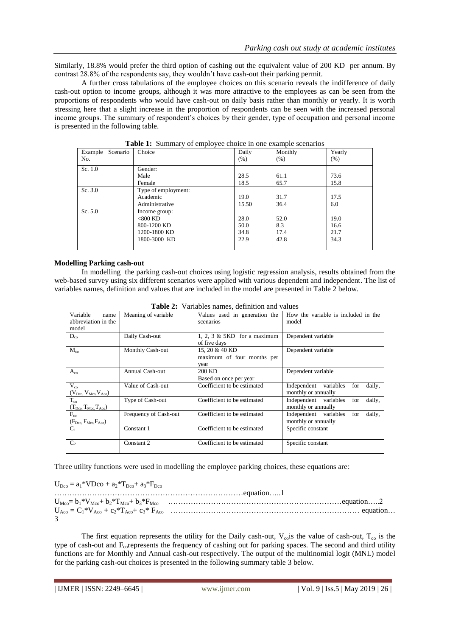Similarly, 18.8% would prefer the third option of cashing out the equivalent value of 200 KD per annum. By contrast 28.8% of the respondents say, they wouldn't have cash-out their parking permit.

A further cross tabulations of the employee choices on this scenario reveals the indifference of daily cash-out option to income groups, although it was more attractive to the employees as can be seen from the proportions of respondents who would have cash-out on daily basis rather than monthly or yearly. It is worth stressing here that a slight increase in the proportion of respondents can be seen with the increased personal income groups. The summary of respondent's choices by their gender, type of occupation and personal income is presented in the following table.

| Scenario<br>Example<br>No. | Choice                                                                     | Daily<br>(% )                | Monthly<br>$(\% )$          | Yearly<br>(% )               |
|----------------------------|----------------------------------------------------------------------------|------------------------------|-----------------------------|------------------------------|
| Sc. 1.0                    | Gender:<br>Male<br>Female                                                  | 28.5<br>18.5                 | 61.1<br>65.7                | 73.6<br>15.8                 |
| Sc. 3.0                    | Type of employment:<br>Academic<br>Administrative                          | 19.0<br>15.50                | 31.7<br>36.4                | 17.5<br>6.0                  |
| Sc. 5.0                    | Income group:<br>$<$ 800 KD<br>800-1200 KD<br>1200-1800 KD<br>1800-3000 KD | 28.0<br>50.0<br>34.8<br>22.9 | 52.0<br>8.3<br>17.4<br>42.8 | 19.0<br>16.6<br>21.7<br>34.3 |

**Table 1:** Summary of employee choice in one example scenarios

# **Modelling Parking cash-out**

In modelling the parking cash-out choices using logistic regression analysis, results obtained from the web-based survey using six different scenarios were applied with various dependent and independent. The list of variables names, definition and values that are included in the model are presented in Table 2 below.

| Variable<br>name<br>abbreviation in the<br>model                     | Meaning of variable   | Values used in generation the<br>scenarios           | How the variable is included in the<br>model                  |
|----------------------------------------------------------------------|-----------------------|------------------------------------------------------|---------------------------------------------------------------|
| $D_{co}$                                                             | Daily Cash-out        | 1, 2, 3 $&$ 5KD for a maximum<br>of five days        | Dependent variable                                            |
| $M_{co}$                                                             | Monthly Cash-out      | 15, 20 & 40 KD<br>maximum of four months per<br>vear | Dependent variable                                            |
| $A_{co}$                                                             | Annual Cash-out       | 200 KD<br>Based on once per year                     | Dependent variable                                            |
| $V_{co}$<br>$(V_{\text{Dco}}$ , $V_{\text{Mco}}$ , $V_{\text{Aco}})$ | Value of Cash-out     | Coefficient to be estimated                          | Independent variables<br>daily,<br>for<br>monthly or annually |
| $T_{\rm co}$<br>$(T_{\text{Dco}} T_{\text{Mco}} T_{\text{Aco}})$     | Type of Cash-out      | Coefficient to be estimated                          | daily,<br>Independent variables<br>for<br>monthly or annually |
| $F_{co}$<br>$(F_{\text{Dco}}, F_{\text{Mco}}, F_{\text{Aco}})$       | Frequency of Cash-out | Coefficient to be estimated                          | daily.<br>Independent variables<br>for<br>monthly or annually |
| $C_1$                                                                | Constant 1            | Coefficient to be estimated                          | Specific constant                                             |
| C <sub>2</sub>                                                       | Constant 2            | Coefficient to be estimated                          | Specific constant                                             |

**Table 2:** Variables names, definition and values

Three utility functions were used in modelling the employee parking choices, these equations are:

 $U_{\text{Dco}} = a_1 * V \text{Dco} + a_2 * T_{\text{Dco}} + a_3 * F_{\text{Dco}}$ …………………………………………………………………equation…..1 UMco= b1\*VMco+ b2\*TMco+ b3\*FMco ……………………………………………………………equation…..2 UAco = C1\*VAco + c2\*TAco+ c3\* FAco ………………………………………………………………… equation… 3

The first equation represents the utility for the Daily cash-out,  $V_{\text{co}}$  is the value of cash-out,  $T_{\text{co}}$  is the type of cash-out and F<sub>co</sub>represents the frequency of cashing out for parking spaces. The second and third utility functions are for Monthly and Annual cash-out respectively. The output of the multinomial logit (MNL) model for the parking cash-out choices is presented in the following summary table 3 below.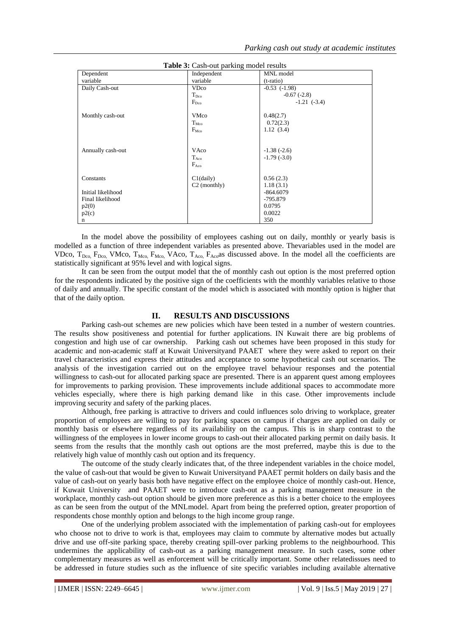| <b>rapic 3.</b> Cash-but parking moder results |                  |                   |  |  |  |  |
|------------------------------------------------|------------------|-------------------|--|--|--|--|
| Dependent                                      | Independent      | MNL model         |  |  |  |  |
| variable                                       | variable         | $(t-ratio)$       |  |  |  |  |
| Daily Cash-out                                 | <b>VDco</b>      | $-0.53$ $(-1.98)$ |  |  |  |  |
|                                                | $T_{\text{Dco}}$ | $-0.67(-2.8)$     |  |  |  |  |
|                                                | $F_{\text{Dco}}$ | $-1.21$ $(-3.4)$  |  |  |  |  |
|                                                |                  |                   |  |  |  |  |
| Monthly cash-out                               | <b>VMco</b>      | 0.48(2.7)         |  |  |  |  |
|                                                | $T_{\rm Mco}$    | 0.72(2.3)         |  |  |  |  |
|                                                | $F_{\rm Mco}$    | 1.12(3.4)         |  |  |  |  |
|                                                |                  |                   |  |  |  |  |
|                                                |                  |                   |  |  |  |  |
| Annually cash-out                              | VAco             | $-1.38(-2.6)$     |  |  |  |  |
|                                                | $T_{Aco}$        | $-1.79(-3.0)$     |  |  |  |  |
|                                                | $F_{Aco}$        |                   |  |  |  |  |
|                                                |                  |                   |  |  |  |  |
| Constants                                      | $C1$ (daily)     | 0.56(2.3)         |  |  |  |  |
|                                                | $C2$ (monthly)   | 1.18(3.1)         |  |  |  |  |
| Initial likelihood                             |                  | $-864.6079$       |  |  |  |  |
| Final likelihood                               |                  | -795.879          |  |  |  |  |
| p2(0)                                          |                  | 0.0795            |  |  |  |  |
| p2(c)                                          |                  | 0.0022            |  |  |  |  |
| n                                              |                  | 350               |  |  |  |  |

**Table 3:** Cash-out parking model results

In the model above the possibility of employees cashing out on daily, monthly or yearly basis is modelled as a function of three independent variables as presented above. Thevariables used in the model are VDco,  $T_{Dco}$ ,  $F_{Dco}$ , VMco,  $T_{Mco}$ ,  $F_{Mco}$ , VAco,  $T_{Aco}$ ,  $F_{Aco}$  as discussed above. In the model all the coefficients are statistically significant at 95% level and with logical signs.

It can be seen from the output model that the of monthly cash out option is the most preferred option for the respondents indicated by the positive sign of the coefficients with the monthly variables relative to those of daily and annually. The specific constant of the model which is associated with monthly option is higher that that of the daily option.

# **II. RESULTS AND DISCUSSIONS**

Parking cash-out schemes are new policies which have been tested in a number of western countries. The results show positiveness and potential for further applications. IN Kuwait there are big problems of congestion and high use of car ownership. Parking cash out schemes have been proposed in this study for academic and non-academic staff at Kuwait Universityand PAAET where they were asked to report on their travel characteristics and express their attitudes and acceptance to some hypothetical cash out scenarios. The analysis of the investigation carried out on the employee travel behaviour responses and the potential willingness to cash-out for allocated parking space are presented. There is an apparent quest among employees for improvements to parking provision. These improvements include additional spaces to accommodate more vehicles especially, where there is high parking demand like in this case. Other improvements include improving security and safety of the parking places.

Although, free parking is attractive to drivers and could influences solo driving to workplace, greater proportion of employees are willing to pay for parking spaces on campus if charges are applied on daily or monthly basis or elsewhere regardless of its availability on the campus. This is in sharp contrast to the willingness of the employees in lower income groups to cash-out their allocated parking permit on daily basis. It seems from the results that the monthly cash out options are the most preferred, maybe this is due to the relatively high value of monthly cash out option and its frequency.

The outcome of the study clearly indicates that, of the three independent variables in the choice model, the value of cash-out that would be given to Kuwait Universityand PAAET permit holders on daily basis and the value of cash-out on yearly basis both have negative effect on the employee choice of monthly cash-out. Hence, if Kuwait University and PAAET were to introduce cash-out as a parking management measure in the workplace, monthly cash-out option should be given more preference as this is a better choice to the employees as can be seen from the output of the MNLmodel. Apart from being the preferred option, greater proportion of respondents chose monthly option and belongs to the high income group range.

One of the underlying problem associated with the implementation of parking cash-out for employees who choose not to drive to work is that, employees may claim to commute by alternative modes but actually drive and use off-site parking space, thereby creating spill-over parking problems to the neighbourhood. This undermines the applicability of cash-out as a parking management measure. In such cases, some other complementary measures as well as enforcement will be critically important. Some other relatedissues need to be addressed in future studies such as the influence of site specific variables including available alternative